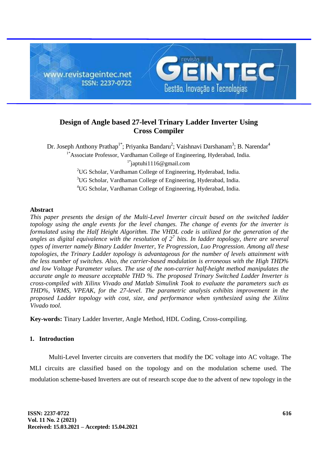

# **Design of Angle based 27-level Trinary Ladder Inverter Using Cross Compiler**

Dr. Joseph Anthony Prathap<sup>1\*</sup>; Priyanka Bandaru<sup>2</sup>; Vaishnavi Darshanam<sup>3</sup>; B. Narendar<sup>4</sup> <sup>1\*</sup>Associate Professor, Vardhaman College of Engineering, Hyderabad, India. <sup>1\*</sup>japtuhi1116@gmail.com <sup>2</sup>UG Scholar, Vardhaman College of Engineering, Hyderabad, India. <sup>3</sup>UG Scholar, Vardhaman College of Engineering, Hyderabad, India. <sup>4</sup>UG Scholar, Vardhaman College of Engineering, Hyderabad, India.

## **Abstract**

*This paper presents the design of the Multi-Level Inverter circuit based on the switched ladder topology using the angle events for the level changes. The change of events for the inverter is formulated using the Half Height Algorithm. The VHDL code is utilized for the generation of the angles as digital equivalence with the resolution of 2<sup>7</sup> bits. In ladder topology, there are several types of inverter namely Binary Ladder Inverter, Ye Progression, Luo Progression. Among all these topologies, the Trinary Ladder topology is advantageous for the number of levels attainment with the less number of switches. Also, the carrier-based modulation is erroneous with the High THD% and low Voltage Parameter values. The use of the non-carrier half-height method manipulates the accurate angle to measure acceptable THD %. The proposed Trinary Switched Ladder Inverter is cross-compiled with Xilinx Vivado and Matlab Simulink Took to evaluate the parameters such as THD%, VRMS, VPEAK, for the 27-level. The parametric analysis exhibits improvement in the proposed Ladder topology with cost, size, and performance when synthesized using the Xilinx Vivado tool.*

**Key-words:** Tinary Ladder Inverter, Angle Method, HDL Coding, Cross-compiling.

## **1. Introduction**

Multi-Level Inverter circuits are converters that modify the DC voltage into AC voltage. The MLI circuits are classified based on the topology and on the modulation scheme used. The modulation scheme-based Inverters are out of research scope due to the advent of new topology in the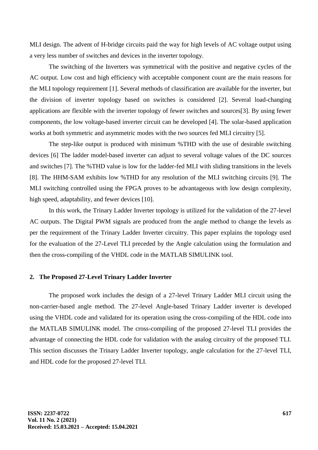MLI design. The advent of H-bridge circuits paid the way for high levels of AC voltage output using a very less number of switches and devices in the inverter topology.

The switching of the Inverters was symmetrical with the positive and negative cycles of the AC output. Low cost and high efficiency with acceptable component count are the main reasons for the MLI topology requirement [1]. Several methods of classification are available for the inverter, but the division of inverter topology based on switches is considered [2]. Several load-changing applications are flexible with the inverter topology of fewer switches and sources[3]. By using fewer components, the low voltage-based inverter circuit can be developed [4]. The solar-based application works at both symmetric and asymmetric modes with the two sources fed MLI circuitry [5].

The step-like output is produced with minimum %THD with the use of desirable switching devices [6] The ladder model-based inverter can adjust to several voltage values of the DC sources and switches [7]. The %THD value is low for the ladder-fed MLI with sliding transitions in the levels [8]. The HHM-SAM exhibits low %THD for any resolution of the MLI switching circuits [9]. The MLI switching controlled using the FPGA proves to be advantageous with low design complexity, high speed, adaptability, and fewer devices [10].

In this work, the Trinary Ladder Inverter topology is utilized for the validation of the 27-level AC outputs. The Digital PWM signals are produced from the angle method to change the levels as per the requirement of the Trinary Ladder Inverter circuitry. This paper explains the topology used for the evaluation of the 27-Level TLI preceded by the Angle calculation using the formulation and then the cross-compiling of the VHDL code in the MATLAB SIMULINK tool.

#### **2. The Proposed 27-Level Trinary Ladder Inverter**

The proposed work includes the design of a 27-level Trinary Ladder MLI circuit using the non-carrier-based angle method. The 27-level Angle-based Trinary Ladder inverter is developed using the VHDL code and validated for its operation using the cross-compiling of the HDL code into the MATLAB SIMULINK model. The cross-compiling of the proposed 27-level TLI provides the advantage of connecting the HDL code for validation with the analog circuitry of the proposed TLI. This section discusses the Trinary Ladder Inverter topology, angle calculation for the 27-level TLI, and HDL code for the proposed 27-level TLI.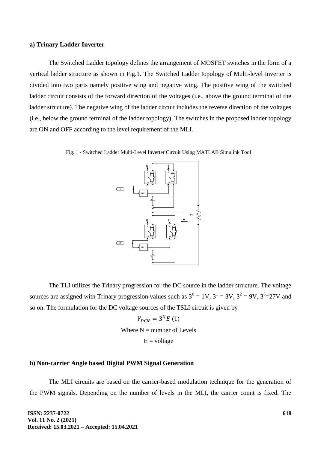#### **a) Trinary Ladder Inverter**

The Switched Ladder topology defines the arrangement of MOSFET switches in the form of a vertical ladder structure as shown in Fig.1. The Switched Ladder topology of Multi-level Inverter is divided into two parts namely positive wing and negative wing. The positive wing of the switched ladder circuit consists of the forward direction of the voltages (i.e., above the ground terminal of the ladder structure). The negative wing of the ladder circuit includes the reverse direction of the voltages (i.e., below the ground terminal of the ladder topology). The switches in the proposed ladder topology are ON and OFF according to the level requirement of the MLI.



Fig. 1 - Switched Ladder Multi-Level Inverter Circuit Using MATLAB Simulink Tool



The TLI utilizes the Trinary progression for the DC source in the ladder structure. The voltage sources are assigned with Trinary progression values such as  $3^0 = 1V$ ,  $3^1 = 3V$ ,  $3^2 = 9V$ ,  $3^3 = 27V$  and so on. The formulation for the DC voltage sources of the TSLI circuit is given by

> $V_{DCN} = 3^{N}E(1)$ Where  $N =$  number of Levels  $E =$ voltage

#### **b) Non-carrier Angle based Digital PWM Signal Generation**

The MLI circuits are based on the carrier-based modulation technique for the generation of the PWM signals. Depending on the number of levels in the MLI, the carrier count is fixed. The

**ISSN: 2237-0722 Vol. 11 No. 2 (2021) Received: 15.03.2021 – Accepted: 15.04.2021**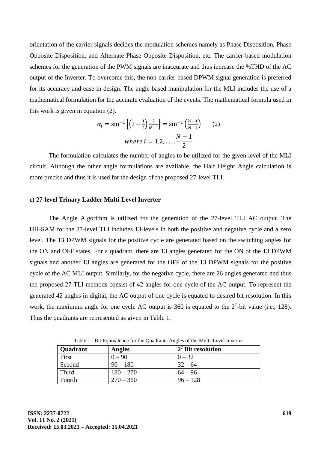orientation of the carrier signals decides the modulation schemes namely as Phase Disposition, Phase Opposite Disposition, and Alternate Phase Opposite Disposition, etc. The carrier-based modulation schemes for the generation of the PWM signals are inaccurate and thus increase the %THD of the AC output of the Inverter. To overcome this, the non-carrier-based DPWM signal generation is preferred for its accuracy and ease in design. The angle-based manipulation for the MLI includes the use of a mathematical formulation for the accurate evaluation of the events. The mathematical formula used in this work is given in equation (2).

$$
\alpha_{i} = \sin^{-1}\left[\left(i - \frac{1}{2}\right) \frac{2}{N-1}\right] = \sin^{-1}\left(\frac{2i - 1}{N-1}\right) \qquad (2)
$$
  
where  $i = 1, 2, ..., \frac{N-1}{2}$ 

The formulation calculates the number of angles to be utilized for the given level of the MLI circuit. Although the other angle formulations are available, the Half Height Angle calculation is more precise and thus it is used for the design of the proposed 27-level TLI.

#### **c) 27-level Trinary Ladder Multi-Level Inverter**

The Angle Algorithm is utilized for the generation of the 27-level TLI AC output. The HH-SAM for the 27-level TLI includes 13-levels in both the positive and negative cycle and a zero level. The 13 DPWM signals for the positive cycle are generated based on the switching angles for the ON and OFF states. For a quadrant, there are 13 angles generated for the ON of the 13 DPWM signals and another 13 angles are generated for the OFF of the 13 DPWM signals for the positive cycle of the AC MLI output. Similarly, for the negative cycle, there are 26 angles generated and thus the proposed 27 TLI methods consist of 42 angles for one cycle of the AC output. To represent the generated 42 angles in digital, the AC output of one cycle is equated to desired bit resolution. In this work, the maximum angle for one cycle AC output is 360 is equated to the  $2^7$ -bit value (i.e., 128). Thus the quadrants are represented as given in Table 1.

| Quadrant | Angles      | $2'$ Bit resolution |
|----------|-------------|---------------------|
| First    | $0 - 90$    | $0 - 32$            |
| Second   | $90 - 180$  | $32 - 64$           |
| Third    | $180 - 270$ | $64 - 96$           |
| Fourth   | $270 - 360$ | $96 - 128$          |

Table 1 - Bit Equivalence for the Quadrants Angles of the Multi-Level Inverter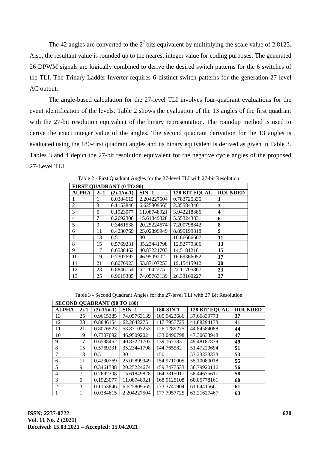The 42 angles are converted to the  $2<sup>7</sup>$  bits equivalent by multiplying the scale value of 2.8125. Also, the resultant value is rounded up to the nearest integer value for coding purposes. The generated 26 DPWM signals are logically combined to derive the desired switch patterns for the 6 switches of the TLI. The Trinary Ladder Inverter requires 6 distinct switch patterns for the generation 27-level AC output.

The angle-based calculation for the 27-level TLI involves four-quadrant evaluations for the event identification of the levels. Table 2 shows the evaluation of the 13 angles of the first quadrant with the 27-bit resolution equivalent of the binary representation. The roundup method is used to derive the exact integer value of the angles. The second quadrant derivation for the 13 angles is evaluated using the 180-first quadrant angles and its binary equivalent is derived as given in Table 3. Tables 3 and 4 depict the 27-bit resolution equivalent for the negative cycle angles of the proposed 27-Level TLI.

| <b>FIRST QUADRANT (0 TO 90)</b> |        |              |             |                      |                         |  |  |  |  |
|---------------------------------|--------|--------------|-------------|----------------------|-------------------------|--|--|--|--|
| <b>ALPHA</b>                    | $2i-1$ | $(2i-1/m-1)$ | $SIN^1$     | <b>128 BIT EOUAL</b> | <b>ROUNDED</b>          |  |  |  |  |
| 1                               |        | 0.0384615    | 2.204227504 | 0.783725335          | 1                       |  |  |  |  |
| $\overline{2}$                  | 3      | 0.1153846    | 6.625809565 | 2.355843401          | 3                       |  |  |  |  |
| 3                               | 5      | 0.1923077    | 11.08748921 | 3.942218386          | $\overline{\mathbf{4}}$ |  |  |  |  |
| 4                               |        | 0.2692308    | 15.61849828 | 5.553243831          | 6                       |  |  |  |  |
| 5                               | 9      | 0.3461538    | 20.25224674 | 7.200798842          | 8                       |  |  |  |  |
| 6                               | 11     | 0.4230769    | 25.02899949 | 8.899199818          | 9                       |  |  |  |  |
| 7                               | 13     | 0.5          | 30          | 10.66666667          | 11                      |  |  |  |  |
| 8                               | 15     | 0.5769231    | 35.23441798 | 12.52779306          | 13                      |  |  |  |  |
| 9                               | 17     | 0.6538462    | 40.83221703 | 14.51812161          | 15                      |  |  |  |  |
| 10                              | 19     | 0.7307692    | 46.9509202  | 16.69366052          | 17                      |  |  |  |  |
| 11                              | 21     | 0.8076923    | 53.87107253 | 19.15415912          | 20                      |  |  |  |  |
| 12                              | 23     | 0.8846154    | 62.2042275  | 22.11705867          | 23                      |  |  |  |  |
| 13                              | 25     | 0.9615385    | 74.05763139 | 26.33160227          | 27                      |  |  |  |  |

Table 2 - First Quadrant Angles for the 27-level TLI with 27-bit Resolution

Table 3 - Second Quadrant Angles for the 27-level TLI with 27 Bit Resolution

| <b>SECOND QUADRANT (90 TO 180)</b> |        |              |             |             |                      |                |  |  |
|------------------------------------|--------|--------------|-------------|-------------|----------------------|----------------|--|--|
| <b>ALPHA</b>                       | $2i-1$ | $(2i-1/m-1)$ | $SIN^1$     | 180-SIN 1   | <b>128 BIT EQUAL</b> | <b>ROUNDED</b> |  |  |
| 13                                 | 25     | 0.9615385    | 74.05763139 | 105.9423686 | 37.66839773          | 37             |  |  |
| 12                                 | 23     | 0.8846154    | 62.2042275  | 117.7957725 | 41.88294133          | 41             |  |  |
| 11                                 | 21     | 0.8076923    | 53.87107253 | 126.1289275 | 44.84584088          | 44             |  |  |
| 10                                 | 19     | 0.7307692    | 46.9509202  | 133.0490798 | 47.30633948          | 47             |  |  |
| 9                                  | 17     | 0.6538462    | 40.83221703 | 139.167783  | 49.48187839          | 49             |  |  |
| 8                                  | 15     | 0.5769231    | 35.23441798 | 144.765582  | 51.47220694          | 51             |  |  |
| $\tau$                             | 13     | 0.5          | 30          | 150         | 53.33333333          | 53             |  |  |
| 6                                  | 11     | 0.4230769    | 25.02899949 | 154.9710005 | 55.10080018          | 55             |  |  |
| 5                                  | 9      | 0.3461538    | 20.25224674 | 159.7477533 | 56.79920116          | 56             |  |  |
| 4                                  |        | 0.2692308    | 15.61849828 | 164.3815017 | 58.44675617          | 58             |  |  |
| 3                                  | 5      | 0.1923077    | 11.08748921 | 168.9125108 | 60.05778161          | 60             |  |  |
| 2                                  | 3      | 0.1153846    | 6.625809565 | 173.3741904 | 61.6441566           | 61             |  |  |
|                                    |        | 0.0384615    | 2.204227504 | 177.7957725 | 63.21627467          | 63             |  |  |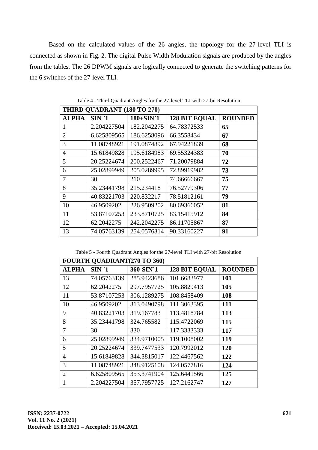Based on the calculated values of the 26 angles, the topology for the 27-level TLI is connected as shown in Fig. 2. The digital Pulse Width Modulation signals are produced by the angles from the tables. The 26 DPWM signals are logically connected to generate the switching patterns for the 6 switches of the 27-level TLI.

| THIRD QUADRANT (180 TO 270) |             |                         |                      |                |  |  |  |  |
|-----------------------------|-------------|-------------------------|----------------------|----------------|--|--|--|--|
| <b>ALPHA</b>                | $SIN^1$     | $180+ SIN$ <sup>1</sup> | <b>128 BIT EQUAL</b> | <b>ROUNDED</b> |  |  |  |  |
| 1                           | 2.204227504 | 182.2042275             | 64.78372533          | 65             |  |  |  |  |
| $\overline{2}$              | 6.625809565 | 186.6258096             | 66.3558434           | 67             |  |  |  |  |
| 3                           | 11.08748921 | 191.0874892             | 67.94221839          | 68             |  |  |  |  |
| $\overline{4}$              | 15.61849828 | 195.6184983             | 69.55324383          | 70             |  |  |  |  |
| 5                           | 20.25224674 | 200.2522467             | 71.20079884          | 72             |  |  |  |  |
| 6                           | 25.02899949 | 205.0289995             | 72.89919982          | 73             |  |  |  |  |
| $\overline{7}$              | 30          | 210                     | 74.66666667          | 75             |  |  |  |  |
| 8                           | 35.23441798 | 215.234418              | 76.52779306          | 77             |  |  |  |  |
| 9                           | 40.83221703 | 220.832217              | 78.51812161          | 79             |  |  |  |  |
| 10                          | 46.9509202  | 226.9509202             | 80.69366052          | 81             |  |  |  |  |
| 11                          | 53.87107253 | 233.8710725             | 83.15415912          | 84             |  |  |  |  |
| 12                          | 62.2042275  | 242.2042275             | 86.11705867          | 87             |  |  |  |  |
| 13                          | 74.05763139 | 254.0576314             | 90.33160227          | 91             |  |  |  |  |

Table 4 - Third Quadrant Angles for the 27-level TLI with 27-bit Resolution

Table 5 - Fourth Quadrant Angles for the 27-level TLI with 27-bit Resolution

| <b>FOURTH QUADRANT(270 TO 360)</b> |             |             |                      |                |  |  |  |  |  |
|------------------------------------|-------------|-------------|----------------------|----------------|--|--|--|--|--|
| <b>ALPHA</b>                       | $SIN^1$     | 360-SIN 1   | <b>128 BIT EQUAL</b> | <b>ROUNDED</b> |  |  |  |  |  |
| 13                                 | 74.05763139 | 285.9423686 | 101.6683977          | <b>101</b>     |  |  |  |  |  |
| 12                                 | 62.2042275  | 297.7957725 | 105.8829413          | 105            |  |  |  |  |  |
| 11                                 | 53.87107253 | 306.1289275 | 108.8458409          | 108            |  |  |  |  |  |
| 10                                 | 46.9509202  | 313.0490798 | 111.3063395          | 111            |  |  |  |  |  |
| 9                                  | 40.83221703 | 319.167783  | 113.4818784          | 113            |  |  |  |  |  |
| 8                                  | 35.23441798 | 324.765582  | 115.4722069          | 115            |  |  |  |  |  |
| 7                                  | 30          | 330         | 117.3333333          | 117            |  |  |  |  |  |
| 6                                  | 25.02899949 | 334.9710005 | 119.1008002          | 119            |  |  |  |  |  |
| 5                                  | 20.25224674 | 339.7477533 | 120.7992012          | <b>120</b>     |  |  |  |  |  |
| $\overline{4}$                     | 15.61849828 | 344.3815017 | 122.4467562          | 122            |  |  |  |  |  |
| 3                                  | 11.08748921 | 348.9125108 | 124.0577816          | 124            |  |  |  |  |  |
| $\overline{2}$                     | 6.625809565 | 353.3741904 | 125.6441566          | 125            |  |  |  |  |  |
| 1                                  | 2.204227504 | 357.7957725 | 127.2162747          | 127            |  |  |  |  |  |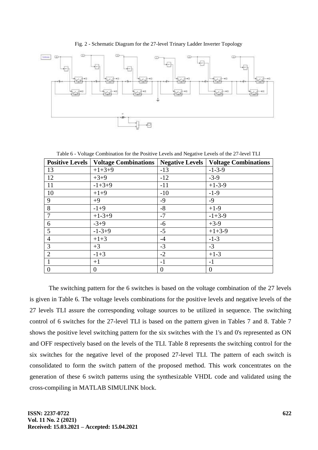Fig. 2 - Schematic Diagram for the 27-level Trinary Ladder Inverter Topology



Table 6 - Voltage Combination for the Positive Levels and Negative Levels of the 27-level TLI

| <b>Positive Levels</b> | <b>Voltage Combinations</b> |          | <b>Negative Levels   Voltage Combinations</b> |
|------------------------|-----------------------------|----------|-----------------------------------------------|
| 13                     | $+1+3+9$                    | $-13$    | $-1-3-9$                                      |
| 12                     | $+3+9$                      | $-12$    | $-3-9$                                        |
| 11                     | $-1+3+9$                    | $-11$    | $+1-3-9$                                      |
| 10                     | $+1+9$                      | $-10$    | $-1-9$                                        |
| 9                      | $+9$                        | $-9$     | $-9$                                          |
| 8                      | $-1+9$                      | $-8$     | $+1-9$                                        |
|                        | $+1-3+9$                    | $-7$     | $-1+3-9$                                      |
| 6                      | $-3+9$                      | $-6$     | $+3-9$                                        |
| 5                      | $-1-3+9$                    | $-5$     | $+1+3-9$                                      |
| $\overline{4}$         | $+1+3$                      | $-4$     | $-1-3$                                        |
| 3                      | $+3$                        | $-3$     | $-3$                                          |
| 2                      | $-1+3$                      | $-2$     | $+1-3$                                        |
|                        | $+1$                        | $-1$     | $-1$                                          |
| $\overline{0}$         | $\overline{0}$              | $\theta$ | $\overline{0}$                                |

The switching pattern for the 6 switches is based on the voltage combination of the 27 levels is given in Table 6. The voltage levels combinations for the positive levels and negative levels of the 27 levels TLI assure the corresponding voltage sources to be utilized in sequence. The switching control of 6 switches for the 27-level TLI is based on the pattern given in Tables 7 and 8. Table 7 shows the positive level switching pattern for the six switches with the 1's and 0's represented as ON and OFF respectively based on the levels of the TLI. Table 8 represents the switching control for the six switches for the negative level of the proposed 27-level TLI. The pattern of each switch is consolidated to form the switch pattern of the proposed method. This work concentrates on the generation of these 6 switch patterns using the synthesizable VHDL code and validated using the cross-compiling in MATLAB SIMULINK block.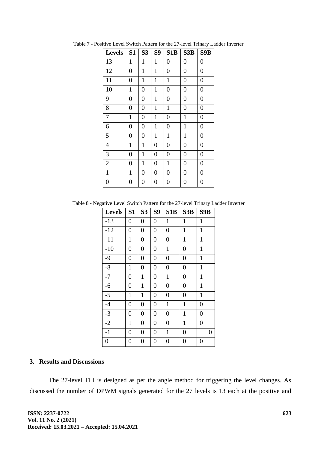| <b>Levels</b>    | S <sub>1</sub>   | S <sub>3</sub>   | <b>S9</b>        | S <sub>1</sub> B | S3B              | S9B              |
|------------------|------------------|------------------|------------------|------------------|------------------|------------------|
| 13               | 1                | $\mathbf{1}$     | $\mathbf{1}$     | $\boldsymbol{0}$ | $\boldsymbol{0}$ | $\boldsymbol{0}$ |
| 12               | $\overline{0}$   | $\mathbf{1}$     | $\mathbf{1}$     | $\overline{0}$   | $\overline{0}$   | $\overline{0}$   |
| 11               | $\overline{0}$   | $\mathbf{1}$     | $\mathbf{1}$     | $\mathbf{1}$     | $\boldsymbol{0}$ | $\boldsymbol{0}$ |
| 10               | $\mathbf{1}$     | $\boldsymbol{0}$ | $\mathbf{1}$     | $\boldsymbol{0}$ | $\boldsymbol{0}$ | $\boldsymbol{0}$ |
| 9                | $\boldsymbol{0}$ | $\boldsymbol{0}$ | $\mathbf{1}$     | $\boldsymbol{0}$ | $\boldsymbol{0}$ | $\boldsymbol{0}$ |
| 8                | $\overline{0}$   | $\overline{0}$   | $\mathbf{1}$     | $\mathbf{1}$     | $\overline{0}$   | $\overline{0}$   |
| 7                | $\mathbf{1}$     | $\boldsymbol{0}$ | $\mathbf{1}$     | $\overline{0}$   | $\mathbf{1}$     | $\boldsymbol{0}$ |
| 6                | $\overline{0}$   | $\overline{0}$   | $\mathbf{1}$     | $\boldsymbol{0}$ | $\mathbf{1}$     | $\overline{0}$   |
| 5                | 0                | $\boldsymbol{0}$ | $\mathbf{1}$     | $\mathbf{1}$     | $\mathbf{1}$     | $\boldsymbol{0}$ |
| 4                | 1                | $\mathbf{1}$     | $\overline{0}$   | $\overline{0}$   | $\boldsymbol{0}$ | $\overline{0}$   |
| 3                | $\boldsymbol{0}$ | $\mathbf{1}$     | $\boldsymbol{0}$ | $\boldsymbol{0}$ | $\boldsymbol{0}$ | $\boldsymbol{0}$ |
| $\overline{2}$   | $\overline{0}$   | $\mathbf{1}$     | $\overline{0}$   | $\mathbf{1}$     | $\overline{0}$   | $\overline{0}$   |
| $\mathbf{1}$     | $\mathbf{1}$     | $\boldsymbol{0}$ | $\boldsymbol{0}$ | $\boldsymbol{0}$ | $\boldsymbol{0}$ | 0                |
| $\boldsymbol{0}$ | 0                | $\boldsymbol{0}$ | $\boldsymbol{0}$ | $\overline{0}$   | 0                | 0                |

Table 7 - Positive Level Switch Pattern for the 27-level Trinary Ladder Inverter

Table 8 - Negative Level Switch Pattern for the 27-level Trinary Ladder Inverter

| <b>Levels</b>    | S <sub>1</sub>   | S <sub>3</sub>   | S9               | S1B              | S3B              | S9B              |
|------------------|------------------|------------------|------------------|------------------|------------------|------------------|
| $-13$            | $\boldsymbol{0}$ | $\boldsymbol{0}$ | $\boldsymbol{0}$ | $\mathbf{1}$     | $\mathbf{1}$     | $\mathbf{1}$     |
| $-12$            | $\boldsymbol{0}$ | $\boldsymbol{0}$ | $\boldsymbol{0}$ | $\overline{0}$   | $\mathbf{1}$     | $\mathbf{1}$     |
| $-11$            | $\mathbf{1}$     | $\boldsymbol{0}$ | $\boldsymbol{0}$ | $\boldsymbol{0}$ | $\mathbf{1}$     | $\mathbf{1}$     |
| $-10$            | $\boldsymbol{0}$ | $\boldsymbol{0}$ | $\boldsymbol{0}$ | $\mathbf{1}$     | $\overline{0}$   | $\mathbf{1}$     |
| $-9$             | $\boldsymbol{0}$ | $\boldsymbol{0}$ | $\boldsymbol{0}$ | $\boldsymbol{0}$ | $\boldsymbol{0}$ | $\mathbf{1}$     |
| $-8$             | $\mathbf{1}$     | $\boldsymbol{0}$ | $\boldsymbol{0}$ | $\overline{0}$   | $\overline{0}$   | $\mathbf{1}$     |
| $-7$             | $\boldsymbol{0}$ | $\mathbf{1}$     | $\boldsymbol{0}$ | $\mathbf{1}$     | $\boldsymbol{0}$ | $\mathbf{1}$     |
| $-6$             | $\boldsymbol{0}$ | $\mathbf{1}$     | $\boldsymbol{0}$ | $\boldsymbol{0}$ | $\overline{0}$   | $\mathbf{1}$     |
| $-5$             | $\mathbf{1}$     | $\mathbf{1}$     | $\boldsymbol{0}$ | $\boldsymbol{0}$ | $\boldsymbol{0}$ | $\mathbf{1}$     |
| $-4$             | $\overline{0}$   | $\boldsymbol{0}$ | $\boldsymbol{0}$ | $\mathbf{1}$     | $\mathbf{1}$     | $\boldsymbol{0}$ |
| $-3$             | $\boldsymbol{0}$ | $\boldsymbol{0}$ | $\boldsymbol{0}$ | $\boldsymbol{0}$ | $\mathbf{1}$     | $\boldsymbol{0}$ |
| $-2$             | $\mathbf{1}$     | $\boldsymbol{0}$ | $\boldsymbol{0}$ | $\overline{0}$   | $\mathbf{1}$     | $\overline{0}$   |
| $-1$             | $\boldsymbol{0}$ | $\boldsymbol{0}$ | $\boldsymbol{0}$ | $\mathbf{1}$     | $\boldsymbol{0}$ | $\boldsymbol{0}$ |
| $\boldsymbol{0}$ | $\overline{0}$   | $\boldsymbol{0}$ | $\boldsymbol{0}$ | $\boldsymbol{0}$ | 0                | $\boldsymbol{0}$ |

## **3. Results and Discussions**

The 27-level TLI is designed as per the angle method for triggering the level changes. As discussed the number of DPWM signals generated for the 27 levels is 13 each at the positive and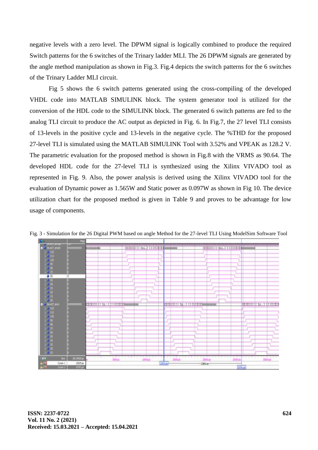negative levels with a zero level. The DPWM signal is logically combined to produce the required Switch patterns for the 6 switches of the Trinary ladder MLI. The 26 DPWM signals are generated by the angle method manipulation as shown in Fig.3. Fig.4 depicts the switch patterns for the 6 switches of the Trinary Ladder MLI circuit.

Fig 5 shows the 6 switch patterns generated using the cross-compiling of the developed VHDL code into MATLAB SIMULINK block. The system generator tool is utilized for the conversion of the HDL code to the SIMULINK block. The generated 6 switch patterns are fed to the analog TLI circuit to produce the AC output as depicted in Fig. 6. In Fig.7, the 27 level TLI consists of 13-levels in the positive cycle and 13-levels in the negative cycle. The %THD for the proposed 27-level TLI is simulated using the MATLAB SIMULINK Tool with 3.52% and VPEAK as 128.2 V. The parametric evaluation for the proposed method is shown in Fig.8 with the VRMS as 90.64. The developed HDL code for the 27-level TLI is synthesized using the Xilinx VIVADO tool as represented in Fig. 9. Also, the power analysis is derived using the Xilinx VIVADO tool for the evaluation of Dynamic power as 1.565W and Static power as 0.097W as shown in Fig 10. The device utilization chart for the proposed method is given in Table 9 and proves to be advantage for low usage of components.



Fig. 3 - Simulation for the 26 Digital PWM based on angle Method for the 27-level TLI Using ModelSim Software Tool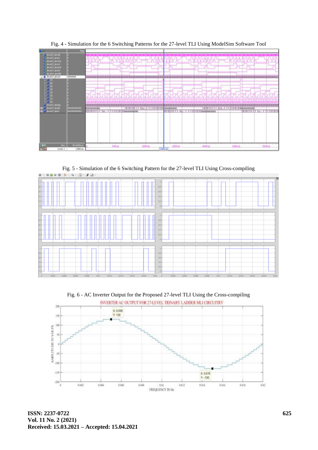

Fig. 4 - Simulation for the 6 Switching Patterns for the 27-level TLI Using ModelSim Software Tool

Fig. 5 - Simulation of the 6 Switching Pattern for the 27-level TLI Using Cross-compiling 0 - | 40 | 8 | | 3 - | 4 - | 11 - | 5 | 2 -



Fig. 6 - AC Inverter Output for the Proposed 27-level TLI Using the Cross-compiling



**ISSN: 2237-0722 Vol. 11 No. 2 (2021) Received: 15.03.2021 – Accepted: 15.04.2021**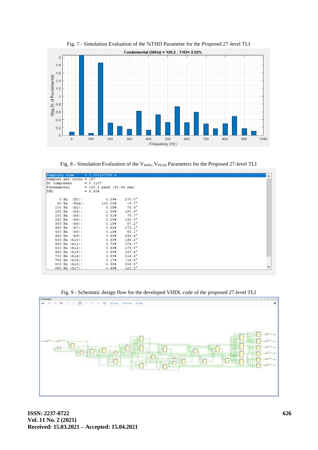

Fig. 7 - Simulation Evaluation of the %THD Parameter for the Proposed 27-level TLI

Fig. 8 - Simulation Evaluation of the V<sub>RMS</sub>, V<sub>PEAK</sub> Parameters for the Proposed 27-level TLI

| Samples per cycle = 157 |               |          | $Sampling time = 0.000127389 s$         |                 |
|-------------------------|---------------|----------|-----------------------------------------|-----------------|
| DC component            |               |          | $= 0.1107$                              |                 |
| Fundamental             |               |          |                                         |                 |
| THD                     |               |          | $= 128.2$ peak (90.64 rms)<br>$= 3.52%$ |                 |
|                         |               |          |                                         |                 |
|                         | $0$ Hz        | $(DC)$ : | 0.09%                                   | $270.0^{\circ}$ |
| $50$ Hz                 |               | (Fnd):   | 100.00%                                 | $-0.7^{\circ}$  |
| $100$ Hz                |               | $(h2)$ : | 0.05%                                   | $73.9^\circ$    |
| 150 Hz                  |               | $(h3)$ : | 1.86%                                   | $180.4^{\circ}$ |
| $200$ Hz                |               | $(h4)$ : | 0.31%                                   | $78.7^{\circ}$  |
| 250 Hz                  |               | $(h5)$ : | 0.23%                                   | $190.9^{\circ}$ |
| 300 Hz                  |               | $(h6)$ : | 0.15%                                   | $67.2^{\circ}$  |
| 350 Hz                  |               | $(h7)$ : | 0.62%                                   | $173.1^\circ$   |
| $400$ Hz                |               | $(h8)$ : | 0.13%                                   | $50.1^{\circ}$  |
| 450 Hz                  |               | $(h9)$ : | 0.53%                                   | $234.4^{\circ}$ |
|                         | 500 Hz (h10): |          | 0.33%                                   | $135.2^{\circ}$ |
|                         | 550 Hz (h11): |          | 0.73%                                   | $174.7^{\circ}$ |
|                         | 600 Hz (h12): |          | 0.33%                                   | $178.8^{\circ}$ |
|                         | 650 Hz (h13): |          | 0.59%                                   | $167.4^{\circ}$ |
|                         | 700 Hz (h14): |          | 0.30%                                   | $214.6^{\circ}$ |
|                         | 750 Hz (h15): |          | 0.17%                                   | $-15.3^{\circ}$ |
|                         | 800 Hz (h16): |          | 0.30%                                   | $206.8^{\circ}$ |
|                         | 850 Hz (h17): |          | 0.48%                                   | $120.2^\circ$   |

Fig. 9 - Schematic design flow for the developed VHDL code of the proposed 27-level TLI

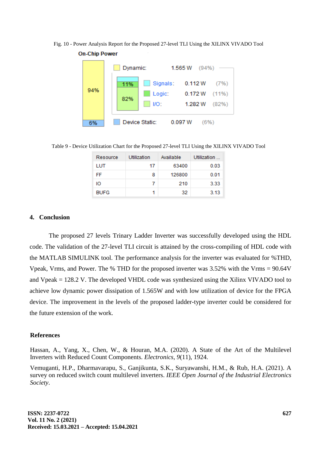Fig. 10 - Power Analysis Report for the Proposed 27-level TLI Using the XILINX VIVADO Tool



**On-Chip Power** 

Table 9 - Device Utilization Chart for the Proposed 27-level TLI Using the XILINX VIVADO Tool

| Resource    | Utilization | Available | Utilization |
|-------------|-------------|-----------|-------------|
| LUT         | 17          | 63400     | 0.03        |
| FF          | 8           | 126800    | 0.01        |
| Ю           | 7           | 210       | 3.33        |
| <b>BUFG</b> |             | 32        | 3.13        |

## **4. Conclusion**

The proposed 27 levels Trinary Ladder Inverter was successfully developed using the HDL code. The validation of the 27-level TLI circuit is attained by the cross-compiling of HDL code with the MATLAB SIMULINK tool. The performance analysis for the inverter was evaluated for %THD, Vpeak, Vrms, and Power. The % THD for the proposed inverter was 3.52% with the Vrms = 90.64V and Vpeak = 128.2 V. The developed VHDL code was synthesized using the Xilinx VIVADO tool to achieve low dynamic power dissipation of 1.565W and with low utilization of device for the FPGA device. The improvement in the levels of the proposed ladder-type inverter could be considered for the future extension of the work.

### **References**

Hassan, A., Yang, X., Chen, W., & Houran, M.A. (2020). A State of the Art of the Multilevel Inverters with Reduced Count Components. *Electronics*, *9*(11), 1924.

Vemuganti, H.P., Dharmavarapu, S., Ganjikunta, S.K., Suryawanshi, H.M., & Rub, H.A. (2021). A survey on reduced switch count multilevel inverters. *IEEE Open Journal of the Industrial Electronics Society*.